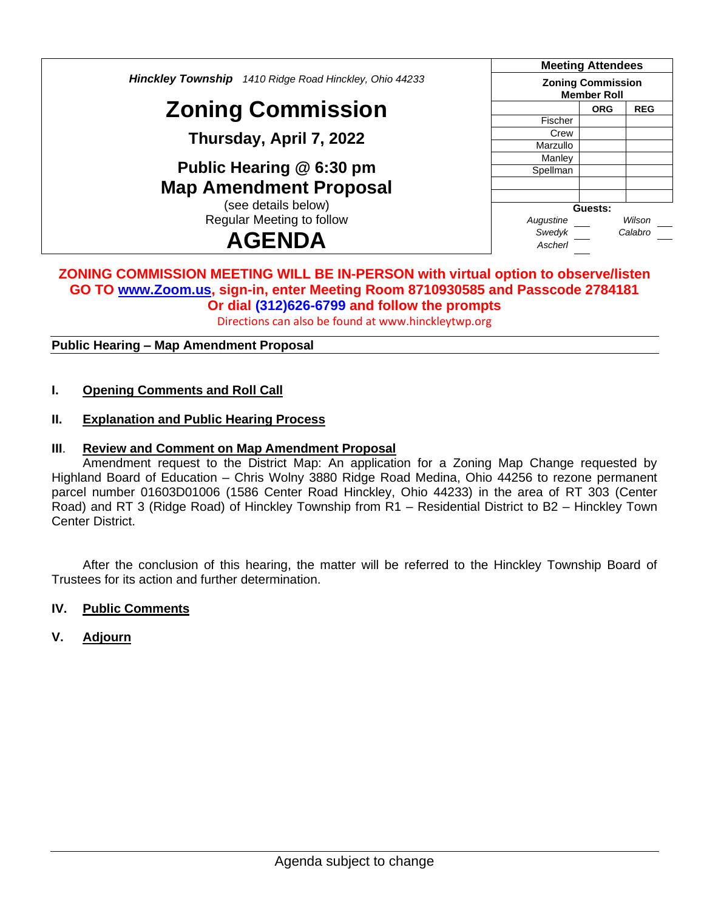*Hinckley Township 1410 Ridge Road Hinckley, Ohio 44233*

# **Zoning Commission**

**Thursday, April 7, 2022**

**Public Hearing @ 6:30 pm Map Amendment Proposal**

(see details below) Regular Meeting to follow

# **AGENDA**

| <b>Meeting Attendees</b>                       |            |            |  |
|------------------------------------------------|------------|------------|--|
| <b>Zoning Commission</b><br><b>Member Roll</b> |            |            |  |
|                                                | <b>ORG</b> | <b>REG</b> |  |
| Fischer                                        |            |            |  |
| Crew                                           |            |            |  |
| Marzullo                                       |            |            |  |
| Manley                                         |            |            |  |
| Spellman                                       |            |            |  |
|                                                |            |            |  |
|                                                |            |            |  |
| Guests:                                        |            |            |  |
| Augustine                                      | Wilson     |            |  |
| Swedyk                                         | Calabro    |            |  |
| Ascherl                                        |            |            |  |

#### **ZONING COMMISSION MEETING WILL BE IN-PERSON with virtual option to observe/listen GO TO [www.Zoom.us,](http://www.zoom.us/) sign-in, enter Meeting Room 8710930585 and Passcode 2784181 Or dial (312)626-6799 and follow the prompts**

Directions can also be found at www.hinckleytwp.org

**Public Hearing – Map Amendment Proposal**

### **I. Opening Comments and Roll Call**

### **II. Explanation and Public Hearing Process**

## **III**. **Review and Comment on Map Amendment Proposal**

Amendment request to the District Map: An application for a Zoning Map Change requested by Highland Board of Education – Chris Wolny 3880 Ridge Road Medina, Ohio 44256 to rezone permanent parcel number 01603D01006 (1586 Center Road Hinckley, Ohio 44233) in the area of RT 303 (Center Road) and RT 3 (Ridge Road) of Hinckley Township from R1 – Residential District to B2 – Hinckley Town Center District.

After the conclusion of this hearing, the matter will be referred to the Hinckley Township Board of Trustees for its action and further determination.

#### **IV. Public Comments**

**V. Adjourn**